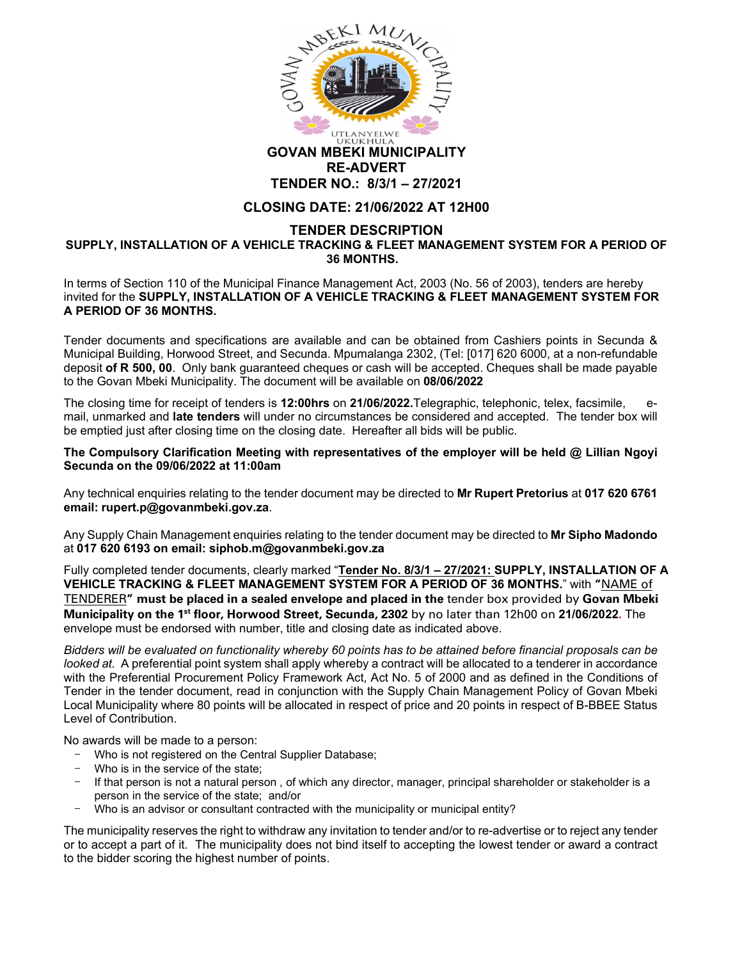

## GOVAN MBEKI MUNICIPALITY RE-ADVERT TENDER NO.: 8/3/1 – 27/2021

## CLOSING DATE: 21/06/2022 AT 12H00

## TENDER DESCRIPTION SUPPLY, INSTALLATION OF A VEHICLE TRACKING & FLEET MANAGEMENT SYSTEM FOR A PERIOD OF 36 MONTHS.

In terms of Section 110 of the Municipal Finance Management Act, 2003 (No. 56 of 2003), tenders are hereby invited for the SUPPLY, INSTALLATION OF A VEHICLE TRACKING & FLEET MANAGEMENT SYSTEM FOR A PERIOD OF 36 MONTHS.

Tender documents and specifications are available and can be obtained from Cashiers points in Secunda & Municipal Building, Horwood Street, and Secunda. Mpumalanga 2302, (Tel: [017] 620 6000, at a non-refundable deposit of R 500, 00. Only bank guaranteed cheques or cash will be accepted. Cheques shall be made payable to the Govan Mbeki Municipality. The document will be available on 08/06/2022

The closing time for receipt of tenders is 12:00hrs on 21/06/2022. Telegraphic, telephonic, telex, facsimile, mail, unmarked and late tenders will under no circumstances be considered and accepted. The tender box will be emptied just after closing time on the closing date. Hereafter all bids will be public.

The Compulsory Clarification Meeting with representatives of the employer will be held @ Lillian Ngoyi Secunda on the 09/06/2022 at 11:00am

Any technical enquiries relating to the tender document may be directed to Mr Rupert Pretorius at 017 620 6761 email: rupert.p@govanmbeki.gov.za.<br>Any Supply Chain Management enquiries relating to the tender document may be directed to **Mr Sipho Madondo** 

at 017 620 6193 on email: siphob.m@govanmbeki.gov.za

Fully completed tender documents, clearly marked "Tender No. 8/3/1 - 27/2021: SUPPLY, INSTALLATION OF A VEHICLE TRACKING & FLEET MANAGEMENT SYSTEM FOR A PERIOD OF 36 MONTHS." with "NAME of TENDERER" must be placed in a sealed envelope and placed in the tender box provided by Govan Mbeki Municipality on the 1<sup>st</sup> floor, Horwood Street, Secunda, 2302 by no later than 12h00 on 21/06/2022. The envelope must be endorsed with number, title and closing date as indicated above.

Bidders will be evaluated on functionality whereby 60 points has to be attained before financial proposals can be looked at. A preferential point system shall apply whereby a contract will be allocated to a tenderer in accordance with the Preferential Procurement Policy Framework Act, Act No. 5 of 2000 and as defined in the Conditions of Tender in the tender document, read in conjunction with the Supply Chain Management Policy of Govan Mbeki Local Municipality where 80 points will be allocated in respect of price and 20 points in respect of B-BBEE Status Level of Contribution.

No awards will be made to a person:

- Who is not registered on the Central Supplier Database;
- Who is in the service of the state;
- If that person is not a natural person , of which any director, manager, principal shareholder or stakeholder is a person in the service of the state; and/or
- Who is an advisor or consultant contracted with the municipality or municipal entity?

The municipality reserves the right to withdraw any invitation to tender and/or to re-advertise or to reject any tender or to accept a part of it. The municipality does not bind itself to accepting the lowest tender or award a contract to the bidder scoring the highest number of points.